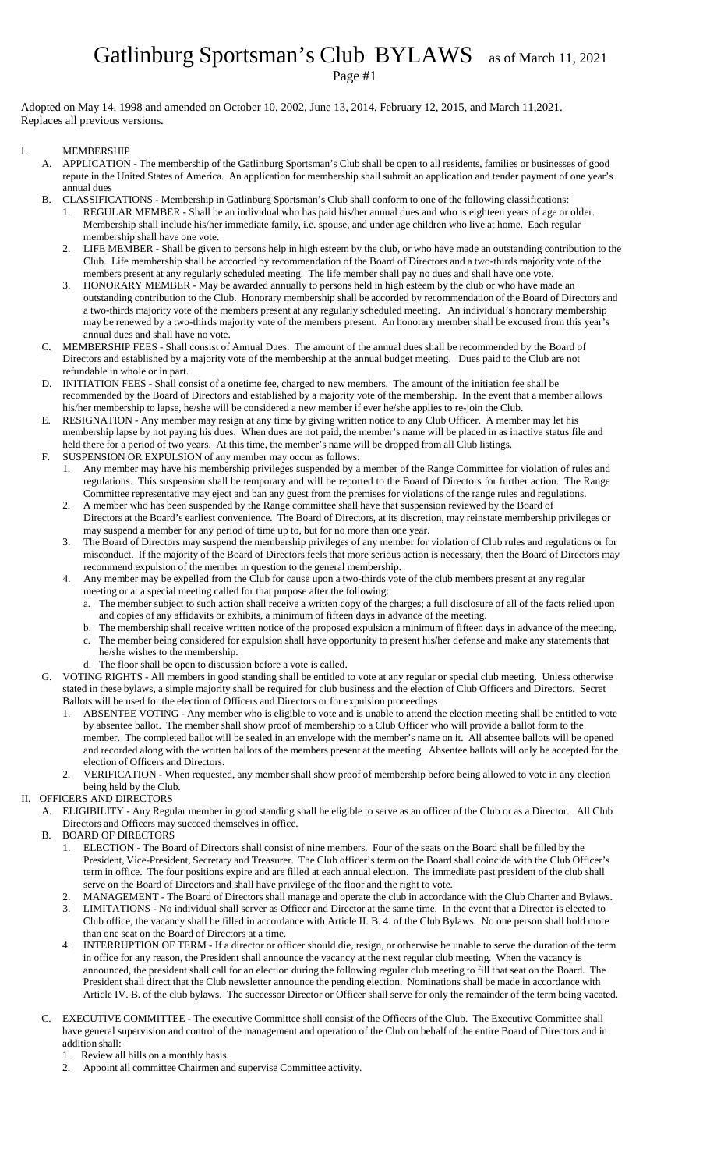# Gatlinburg Sportsman's Club BYLAWS as of March 11, 2021

Page #1

Adopted on May 14, 1998 and amended on October 10, 2002, June 13, 2014, February 12, 2015, and March 11,2021. Replaces all previous versions.

### I. MEMBERSHIP

- A. APPLICATION The membership of the Gatlinburg Sportsman's Club shall be open to all residents, families or businesses of good repute in the United States of America. An application for membership shall submit an application and tender payment of one year's annual dues
- B. CLASSIFICATIONS Membership in Gatlinburg Sportsman's Club shall conform to one of the following classifications:
	- 1. REGULAR MEMBER Shall be an individual who has paid his/her annual dues and who is eighteen years of age or older. Membership shall include his/her immediate family, i.e. spouse, and under age children who live at home. Each regular membership shall have one vote.
	- 2. LIFE MEMBER Shall be given to persons help in high esteem by the club, or who have made an outstanding contribution to the Club. Life membership shall be accorded by recommendation of the Board of Directors and a two-thirds majority vote of the members present at any regularly scheduled meeting. The life member shall pay no dues and shall have one vote.
	- 3. HONORARY MEMBER May be awarded annually to persons held in high esteem by the club or who have made an outstanding contribution to the Club. Honorary membership shall be accorded by recommendation of the Board of Directors and a two-thirds majority vote of the members present at any regularly scheduled meeting. An individual's honorary membership may be renewed by a two-thirds majority vote of the members present. An honorary member shall be excused from this year's annual dues and shall have no vote.
- C. MEMBERSHIP FEES Shall consist of Annual Dues. The amount of the annual dues shall be recommended by the Board of Directors and established by a majority vote of the membership at the annual budget meeting. Dues paid to the Club are not refundable in whole or in part.
- D. INITIATION FEES Shall consist of a onetime fee, charged to new members. The amount of the initiation fee shall be recommended by the Board of Directors and established by a majority vote of the membership. In the event that a member allows his/her membership to lapse, he/she will be considered a new member if ever he/she applies to re-join the Club.
- E. RESIGNATION Any member may resign at any time by giving written notice to any Club Officer. A member may let his membership lapse by not paying his dues. When dues are not paid, the member's name will be placed in as inactive status file and held there for a period of two years. At this time, the member's name will be dropped from all Club listings.
- F. SUSPENSION OR EXPULSION of any member may occur as follows:
	- 1. Any member may have his membership privileges suspended by a member of the Range Committee for violation of rules and regulations. This suspension shall be temporary and will be reported to the Board of Directors for further action. The Range Committee representative may eject and ban any guest from the premises for violations of the range rules and regulations.
	- 2. A member who has been suspended by the Range committee shall have that suspension reviewed by the Board of Directors at the Board's earliest convenience. The Board of Directors, at its discretion, may reinstate membership privileges or may suspend a member for any period of time up to, but for no more than one year.
	- 3. The Board of Directors may suspend the membership privileges of any member for violation of Club rules and regulations or for misconduct. If the majority of the Board of Directors feels that more serious action is necessary, then the Board of Directors may recommend expulsion of the member in question to the general membership.
	- 4. Any member may be expelled from the Club for cause upon a two-thirds vote of the club members present at any regular meeting or at a special meeting called for that purpose after the following:
		- a. The member subject to such action shall receive a written copy of the charges; a full disclosure of all of the facts relied upon and copies of any affidavits or exhibits, a minimum of fifteen days in advance of the meeting.
		- b. The membership shall receive written notice of the proposed expulsion a minimum of fifteen days in advance of the meeting. c. The member being considered for expulsion shall have opportunity to present his/her defense and make any statements that
		- he/she wishes to the membership. d. The floor shall be open to discussion before a vote is called.
		-
- G. VOTING RIGHTS All members in good standing shall be entitled to vote at any regular or special club meeting. Unless otherwise stated in these bylaws, a simple majority shall be required for club business and the election of Club Officers and Directors. Secret Ballots will be used for the election of Officers and Directors or for expulsion proceedings
	- 1. ABSENTEE VOTING Any member who is eligible to vote and is unable to attend the election meeting shall be entitled to vote by absentee ballot. The member shall show proof of membership to a Club Officer who will provide a ballot form to the member. The completed ballot will be sealed in an envelope with the member's name on it. All absentee ballots will be opened and recorded along with the written ballots of the members present at the meeting. Absentee ballots will only be accepted for the election of Officers and Directors.
	- 2. VERIFICATION When requested, any member shall show proof of membership before being allowed to vote in any election being held by the Club.

## II. OFFICERS AND DIRECTORS

- A. ELIGIBILITY Any Regular member in good standing shall be eligible to serve as an officer of the Club or as a Director. All Club Directors and Officers may succeed themselves in office.
- B. BOARD OF DIRECTORS
	- 1. ELECTION The Board of Directors shall consist of nine members. Four of the seats on the Board shall be filled by the President, Vice-President, Secretary and Treasurer. The Club officer's term on the Board shall coincide with the Club Officer's term in office. The four positions expire and are filled at each annual election. The immediate past president of the club shall serve on the Board of Directors and shall have privilege of the floor and the right to vote.
	- 2. MANAGEMENT The Board of Directors shall manage and operate the club in accordance with the Club Charter and Bylaws.
	- 3. LIMITATIONS No individual shall server as Officer and Director at the same time. In the event that a Director is elected to Club office, the vacancy shall be filled in accordance with Article II. B. 4. of the Club Bylaws. No one person shall hold more than one seat on the Board of Directors at a time.
	- 4. INTERRUPTION OF TERM If a director or officer should die, resign, or otherwise be unable to serve the duration of the term in office for any reason, the President shall announce the vacancy at the next regular club meeting. When the vacancy is announced, the president shall call for an election during the following regular club meeting to fill that seat on the Board. The President shall direct that the Club newsletter announce the pending election. Nominations shall be made in accordance with Article IV. B. of the club bylaws. The successor Director or Officer shall serve for only the remainder of the term being vacated.
- C. EXECUTIVE COMMITTEE The executive Committee shall consist of the Officers of the Club. The Executive Committee shall have general supervision and control of the management and operation of the Club on behalf of the entire Board of Directors and in addition shall:
	- 1. Review all bills on a monthly basis.
	- 2. Appoint all committee Chairmen and supervise Committee activity.